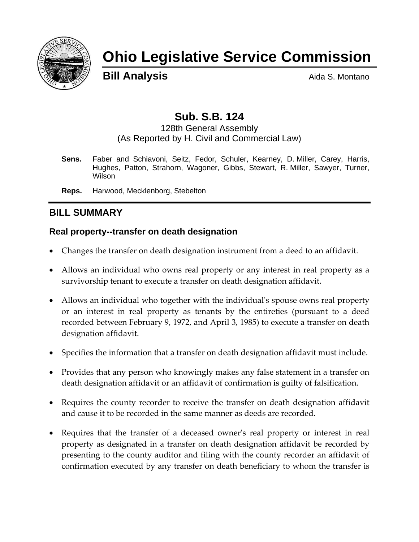

# **Ohio Legislative Service Commission**

**Bill Analysis Aida S. Montano** 

## **Sub. S.B. 124**

128th General Assembly (As Reported by H. Civil and Commercial Law)

**Sens.** Faber and Schiavoni, Seitz, Fedor, Schuler, Kearney, D. Miller, Carey, Harris, Hughes, Patton, Strahorn, Wagoner, Gibbs, Stewart, R. Miller, Sawyer, Turner, Wilson

**Reps.** Harwood, Mecklenborg, Stebelton

## **BILL SUMMARY**

## **Real property--transfer on death designation**

- Changes the transfer on death designation instrument from a deed to an affidavit.
- Allows an individual who owns real property or any interest in real property as a survivorship tenant to execute a transfer on death designation affidavit.
- Allows an individual who together with the individual's spouse owns real property or an interest in real property as tenants by the entireties (pursuant to a deed recorded between February 9, 1972, and April 3, 1985) to execute a transfer on death designation affidavit.
- Specifies the information that a transfer on death designation affidavit must include.
- Provides that any person who knowingly makes any false statement in a transfer on death designation affidavit or an affidavit of confirmation is guilty of falsification.
- Requires the county recorder to receive the transfer on death designation affidavit and cause it to be recorded in the same manner as deeds are recorded.
- Requires that the transfer of a deceased owner's real property or interest in real property as designated in a transfer on death designation affidavit be recorded by presenting to the county auditor and filing with the county recorder an affidavit of confirmation executed by any transfer on death beneficiary to whom the transfer is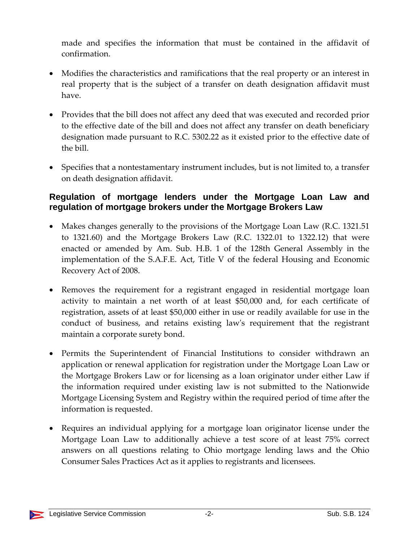made and specifies the information that must be contained in the affidavit of confirmation.

- Modifies the characteristics and ramifications that the real property or an interest in real property that is the subject of a transfer on death designation affidavit must have.
- Provides that the bill does not affect any deed that was executed and recorded prior to the effective date of the bill and does not affect any transfer on death beneficiary designation made pursuant to R.C. 5302.22 as it existed prior to the effective date of the bill.
- Specifies that a nontestamentary instrument includes, but is not limited to, a transfer on death designation affidavit.

#### **Regulation of mortgage lenders under the Mortgage Loan Law and regulation of mortgage brokers under the Mortgage Brokers Law**

- Makes changes generally to the provisions of the Mortgage Loan Law (R.C. 1321.51) to 1321.60) and the Mortgage Brokers Law (R.C. 1322.01 to 1322.12) that were enacted or amended by Am. Sub. H.B. 1 of the 128th General Assembly in the implementation of the S.A.F.E. Act, Title V of the federal Housing and Economic Recovery Act of 2008.
- Removes the requirement for a registrant engaged in residential mortgage loan activity to maintain a net worth of at least \$50,000 and, for each certificate of registration, assets of at least \$50,000 either in use or readily available for use in the conduct of business, and retains existing lawʹs requirement that the registrant maintain a corporate surety bond.
- Permits the Superintendent of Financial Institutions to consider withdrawn an application or renewal application for registration under the Mortgage Loan Law or the Mortgage Brokers Law or for licensing as a loan originator under either Law if the information required under existing law is not submitted to the Nationwide Mortgage Licensing System and Registry within the required period of time after the information is requested.
- Requires an individual applying for a mortgage loan originator license under the Mortgage Loan Law to additionally achieve a test score of at least 75% correct answers on all questions relating to Ohio mortgage lending laws and the Ohio Consumer Sales Practices Act as it applies to registrants and licensees.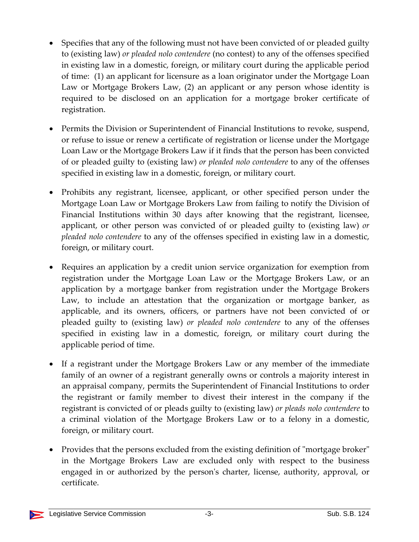- Specifies that any of the following must not have been convicted of or pleaded guilty to (existing law) *or pleaded nolo contendere* (no contest) to any of the offenses specified in existing law in a domestic, foreign, or military court during the applicable period of time: (1) an applicant for licensure as a loan originator under the Mortgage Loan Law or Mortgage Brokers Law, (2) an applicant or any person whose identity is required to be disclosed on an application for a mortgage broker certificate of registration.
- Permits the Division or Superintendent of Financial Institutions to revoke, suspend, or refuse to issue or renew a certificate of registration or license under the Mortgage Loan Law or the Mortgage Brokers Law if it finds that the person has been convicted of or pleaded guilty to (existing law) *or pleaded nolo contendere* to any of the offenses specified in existing law in a domestic, foreign, or military court.
- Prohibits any registrant, licensee, applicant, or other specified person under the Mortgage Loan Law or Mortgage Brokers Law from failing to notify the Division of Financial Institutions within 30 days after knowing that the registrant, licensee, applicant, or other person was convicted of or pleaded guilty to (existing law) *or pleaded nolo contendere* to any of the offenses specified in existing law in a domestic, foreign, or military court.
- Requires an application by a credit union service organization for exemption from registration under the Mortgage Loan Law or the Mortgage Brokers Law, or an application by a mortgage banker from registration under the Mortgage Brokers Law, to include an attestation that the organization or mortgage banker, as applicable, and its owners, officers, or partners have not been convicted of or pleaded guilty to (existing law) *or pleaded nolo contendere* to any of the offenses specified in existing law in a domestic, foreign, or military court during the applicable period of time.
- If a registrant under the Mortgage Brokers Law or any member of the immediate family of an owner of a registrant generally owns or controls a majority interest in an appraisal company, permits the Superintendent of Financial Institutions to order the registrant or family member to divest their interest in the company if the registrant is convicted of or pleads guilty to (existing law) *or pleads nolo contendere* to a criminal violation of the Mortgage Brokers Law or to a felony in a domestic, foreign, or military court.
- Provides that the persons excluded from the existing definition of "mortgage broker" in the Mortgage Brokers Law are excluded only with respect to the business engaged in or authorized by the personʹs charter, license, authority, approval, or certificate.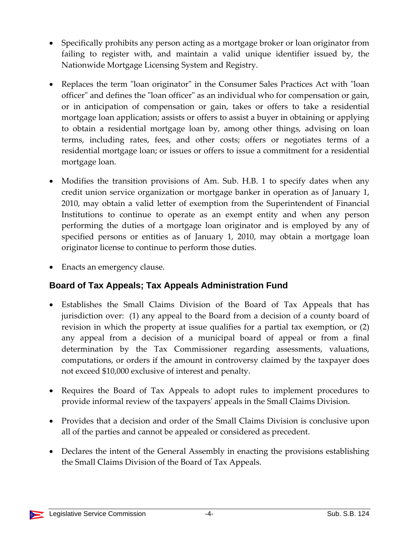- Specifically prohibits any person acting as a mortgage broker or loan originator from failing to register with, and maintain a valid unique identifier issued by, the Nationwide Mortgage Licensing System and Registry.
- Replaces the term "loan originator" in the Consumer Sales Practices Act with "loan officer" and defines the "loan officer" as an individual who for compensation or gain, or in anticipation of compensation or gain, takes or offers to take a residential mortgage loan application; assists or offers to assist a buyer in obtaining or applying to obtain a residential mortgage loan by, among other things, advising on loan terms, including rates, fees, and other costs; offers or negotiates terms of a residential mortgage loan; or issues or offers to issue a commitment for a residential mortgage loan.
- Modifies the transition provisions of Am. Sub. H.B. 1 to specify dates when any credit union service organization or mortgage banker in operation as of January 1, 2010, may obtain a valid letter of exemption from the Superintendent of Financial Institutions to continue to operate as an exempt entity and when any person performing the duties of a mortgage loan originator and is employed by any of specified persons or entities as of January 1, 2010, may obtain a mortgage loan originator license to continue to perform those duties.
- Enacts an emergency clause.

## **Board of Tax Appeals; Tax Appeals Administration Fund**

- Establishes the Small Claims Division of the Board of Tax Appeals that has jurisdiction over: (1) any appeal to the Board from a decision of a county board of revision in which the property at issue qualifies for a partial tax exemption, or (2) any appeal from a decision of a municipal board of appeal or from a final determination by the Tax Commissioner regarding assessments, valuations, computations, or orders if the amount in controversy claimed by the taxpayer does not exceed \$10,000 exclusive of interest and penalty.
- Requires the Board of Tax Appeals to adopt rules to implement procedures to provide informal review of the taxpayersʹ appeals in the Small Claims Division.
- Provides that a decision and order of the Small Claims Division is conclusive upon all of the parties and cannot be appealed or considered as precedent.
- Declares the intent of the General Assembly in enacting the provisions establishing the Small Claims Division of the Board of Tax Appeals.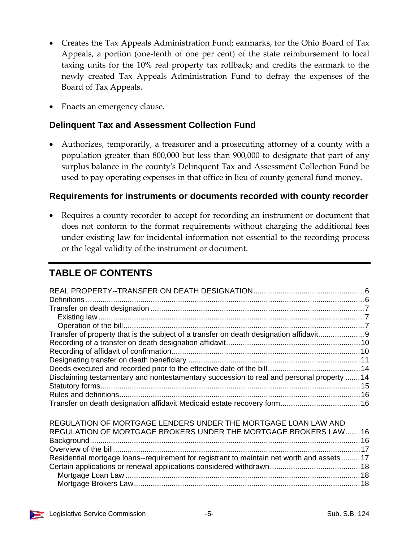- Creates the Tax Appeals Administration Fund; earmarks, for the Ohio Board of Tax Appeals, a portion (one‐tenth of one per cent) of the state reimbursement to local taxing units for the 10% real property tax rollback; and credits the earmark to the newly created Tax Appeals Administration Fund to defray the expenses of the Board of Tax Appeals.
- Enacts an emergency clause.

#### **Delinquent Tax and Assessment Collection Fund**

• Authorizes, temporarily, a treasurer and a prosecuting attorney of a county with a population greater than 800,000 but less than 900,000 to designate that part of any surplus balance in the countyʹs Delinquent Tax and Assessment Collection Fund be used to pay operating expenses in that office in lieu of county general fund money.

#### **Requirements for instruments or documents recorded with county recorder**

Requires a county recorder to accept for recording an instrument or document that does not conform to the format requirements without charging the additional fees under existing law for incidental information not essential to the recording process or the legal validity of the instrument or document.

## **TABLE OF CONTENTS**

| Transfer of property that is the subject of a transfer on death designation affidavit     |  |
|-------------------------------------------------------------------------------------------|--|
|                                                                                           |  |
|                                                                                           |  |
|                                                                                           |  |
|                                                                                           |  |
| Disclaiming testamentary and nontestamentary succession to real and personal property  14 |  |
|                                                                                           |  |
|                                                                                           |  |
|                                                                                           |  |
|                                                                                           |  |
| REGULATION OF MORTGAGE LENDERS UNDER THE MORTGAGE LOAN LAW AND                            |  |
| REGULATION OF MORTGAGE BROKERS UNDER THE MORTGAGE BROKERS LAW  16                         |  |
|                                                                                           |  |
|                                                                                           |  |
| Residential mortgage loans--requirement for registrant to maintain net worth and assets17 |  |
|                                                                                           |  |
|                                                                                           |  |
|                                                                                           |  |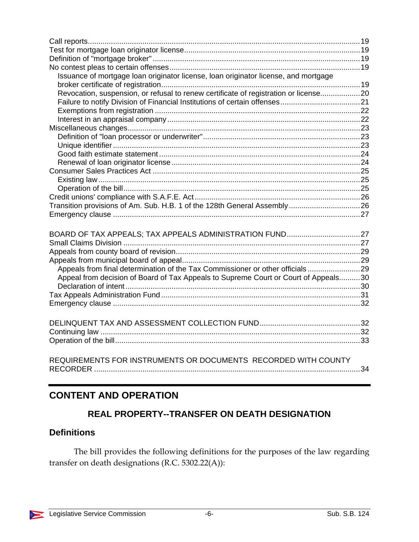| Issuance of mortgage loan originator license, loan originator license, and mortgage  |  |
|--------------------------------------------------------------------------------------|--|
|                                                                                      |  |
| Revocation, suspension, or refusal to renew certificate of registration or license20 |  |
|                                                                                      |  |
|                                                                                      |  |
|                                                                                      |  |
|                                                                                      |  |
|                                                                                      |  |
|                                                                                      |  |
|                                                                                      |  |
|                                                                                      |  |
|                                                                                      |  |
|                                                                                      |  |
|                                                                                      |  |
|                                                                                      |  |
| Transition provisions of Am. Sub. H.B. 1 of the 128th General Assembly26             |  |
|                                                                                      |  |
|                                                                                      |  |
|                                                                                      |  |
|                                                                                      |  |
|                                                                                      |  |
|                                                                                      |  |
| Appeals from final determination of the Tax Commissioner or other officials 29       |  |
| Appeal from decision of Board of Tax Appeals to Supreme Court or Court of Appeals30  |  |
|                                                                                      |  |
|                                                                                      |  |
|                                                                                      |  |
|                                                                                      |  |
|                                                                                      |  |
|                                                                                      |  |
|                                                                                      |  |
|                                                                                      |  |
|                                                                                      |  |
| REQUIREMENTS FOR INSTRUMENTS OR DOCUMENTS RECORDED WITH COUNTY                       |  |
|                                                                                      |  |

## **CONTENT AND OPERATION**

## **REAL PROPERTY--TRANSFER ON DEATH DESIGNATION**

#### **Definitions**

The bill provides the following definitions for the purposes of the law regarding transfer on death designations (R.C. 5302.22(A)):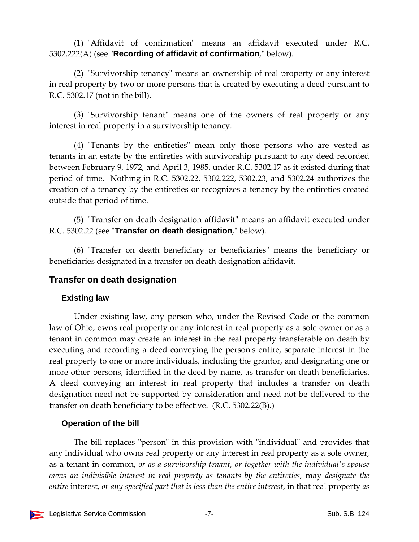(1) "Affidavit of confirmation" means an affidavit executed under R.C. 5302.222(A) (see "**Recording of affidavit of confirmation**," below).

(2) "Survivorship tenancy" means an ownership of real property or any interest in real property by two or more persons that is created by executing a deed pursuant to R.C. 5302.17 (not in the bill).

(3) "Survivorship tenant" means one of the owners of real property or any interest in real property in a survivorship tenancy.

 $(4)$  "Tenants by the entireties" mean only those persons who are vested as tenants in an estate by the entireties with survivorship pursuant to any deed recorded between February 9, 1972, and April 3, 1985, under R.C. 5302.17 as it existed during that period of time. Nothing in R.C. 5302.22, 5302.222, 5302.23, and 5302.24 authorizes the creation of a tenancy by the entireties or recognizes a tenancy by the entireties created outside that period of time.

(5) "Transfer on death designation affidavit" means an affidavit executed under R.C. 5302.22 (see **'Transfer on death designation**," below).

(6) "Transfer on death beneficiary or beneficiaries" means the beneficiary or beneficiaries designated in a transfer on death designation affidavit.

#### **Transfer on death designation**

#### **Existing law**

Under existing law, any person who, under the Revised Code or the common law of Ohio, owns real property or any interest in real property as a sole owner or as a tenant in common may create an interest in the real property transferable on death by executing and recording a deed conveying the person's entire, separate interest in the real property to one or more individuals, including the grantor, and designating one or more other persons, identified in the deed by name, as transfer on death beneficiaries. A deed conveying an interest in real property that includes a transfer on death designation need not be supported by consideration and need not be delivered to the transfer on death beneficiary to be effective. (R.C. 5302.22(B).)

## **Operation of the bill**

The bill replaces "person" in this provision with "individual" and provides that any individual who owns real property or any interest in real property as a sole owner, as a tenant in common, *or as a survivorship tenant, or together with the individualʹs spouse owns an indivisible interest in real property as tenants by the entireties,* may *designate the entire* interest, *or any specified part that is less than the entire interest*, in that real property *as*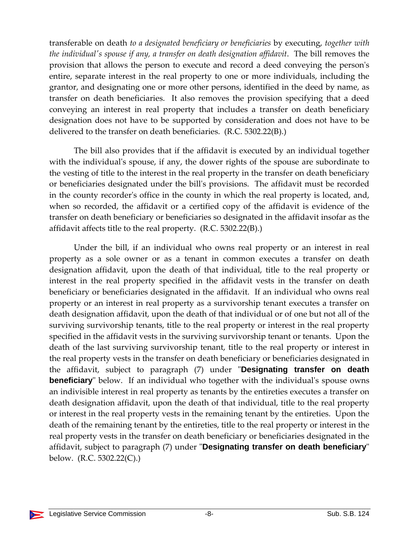transferable on death *to a designated beneficiary or beneficiaries* by executing, *together with the individualʹs spouse if any, a transfer on death designation affidavit*. The bill removes the provision that allows the person to execute and record a deed conveying the personʹs entire, separate interest in the real property to one or more individuals, including the grantor, and designating one or more other persons, identified in the deed by name, as transfer on death beneficiaries. It also removes the provision specifying that a deed conveying an interest in real property that includes a transfer on death beneficiary designation does not have to be supported by consideration and does not have to be delivered to the transfer on death beneficiaries. (R.C. 5302.22(B).)

The bill also provides that if the affidavit is executed by an individual together with the individual's spouse, if any, the dower rights of the spouse are subordinate to the vesting of title to the interest in the real property in the transfer on death beneficiary or beneficiaries designated under the billʹs provisions. The affidavit must be recorded in the county recorder's office in the county in which the real property is located, and, when so recorded, the affidavit or a certified copy of the affidavit is evidence of the transfer on death beneficiary or beneficiaries so designated in the affidavit insofar as the affidavit affects title to the real property. (R.C. 5302.22(B).)

Under the bill, if an individual who owns real property or an interest in real property as a sole owner or as a tenant in common executes a transfer on death designation affidavit, upon the death of that individual, title to the real property or interest in the real property specified in the affidavit vests in the transfer on death beneficiary or beneficiaries designated in the affidavit. If an individual who owns real property or an interest in real property as a survivorship tenant executes a transfer on death designation affidavit, upon the death of that individual or of one but not all of the surviving survivorship tenants, title to the real property or interest in the real property specified in the affidavit vests in the surviving survivorship tenant or tenants. Upon the death of the last surviving survivorship tenant, title to the real property or interest in the real property vests in the transfer on death beneficiary or beneficiaries designated in the affidavit, subject to paragraph (7) under ʺ**Designating transfer on death beneficiary** below. If an individual who together with the individual's spouse owns an indivisible interest in real property as tenants by the entireties executes a transfer on death designation affidavit, upon the death of that individual, title to the real property or interest in the real property vests in the remaining tenant by the entireties. Upon the death of the remaining tenant by the entireties, title to the real property or interest in the real property vests in the transfer on death beneficiary or beneficiaries designated in the affidavit, subject to paragraph (7) under "**Designating transfer on death beneficiary**" below. (R.C. 5302.22(C).)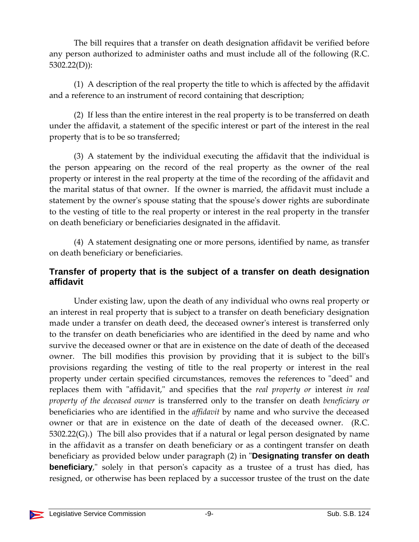The bill requires that a transfer on death designation affidavit be verified before any person authorized to administer oaths and must include all of the following (R.C. 5302.22(D)):

(1) A description of the real property the title to which is affected by the affidavit and a reference to an instrument of record containing that description;

(2) If less than the entire interest in the real property is to be transferred on death under the affidavit, a statement of the specific interest or part of the interest in the real property that is to be so transferred;

(3) A statement by the individual executing the affidavit that the individual is the person appearing on the record of the real property as the owner of the real property or interest in the real property at the time of the recording of the affidavit and the marital status of that owner. If the owner is married, the affidavit must include a statement by the owner's spouse stating that the spouse's dower rights are subordinate to the vesting of title to the real property or interest in the real property in the transfer on death beneficiary or beneficiaries designated in the affidavit.

(4) A statement designating one or more persons, identified by name, as transfer on death beneficiary or beneficiaries.

#### **Transfer of property that is the subject of a transfer on death designation affidavit**

Under existing law, upon the death of any individual who owns real property or an interest in real property that is subject to a transfer on death beneficiary designation made under a transfer on death deed, the deceased owner's interest is transferred only to the transfer on death beneficiaries who are identified in the deed by name and who survive the deceased owner or that are in existence on the date of death of the deceased owner. The bill modifies this provision by providing that it is subject to the bill's provisions regarding the vesting of title to the real property or interest in the real property under certain specified circumstances, removes the references to "deed" and replaces them with "affidavit," and specifies that the *real property or interest in real property of the deceased owner* is transferred only to the transfer on death *beneficiary or* beneficiaries who are identified in the *affidavit* by name and who survive the deceased owner or that are in existence on the date of death of the deceased owner. (R.C. 5302.22(G).) The bill also provides that if a natural or legal person designated by name in the affidavit as a transfer on death beneficiary or as a contingent transfer on death beneficiary as provided below under paragraph (2) in "**Designating transfer on death beneficiary**," solely in that person's capacity as a trustee of a trust has died, has resigned, or otherwise has been replaced by a successor trustee of the trust on the date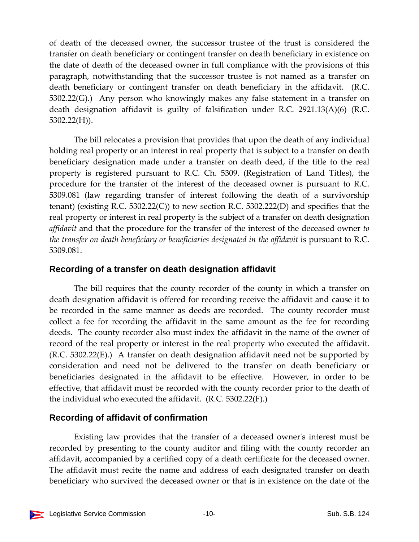of death of the deceased owner, the successor trustee of the trust is considered the transfer on death beneficiary or contingent transfer on death beneficiary in existence on the date of death of the deceased owner in full compliance with the provisions of this paragraph, notwithstanding that the successor trustee is not named as a transfer on death beneficiary or contingent transfer on death beneficiary in the affidavit. (R.C. 5302.22(G).) Any person who knowingly makes any false statement in a transfer on death designation affidavit is guilty of falsification under R.C. 2921.13(A)(6) (R.C. 5302.22(H)).

The bill relocates a provision that provides that upon the death of any individual holding real property or an interest in real property that is subject to a transfer on death beneficiary designation made under a transfer on death deed, if the title to the real property is registered pursuant to R.C. Ch. 5309. (Registration of Land Titles), the procedure for the transfer of the interest of the deceased owner is pursuant to R.C. 5309.081 (law regarding transfer of interest following the death of a survivorship tenant) (existing R.C. 5302.22(C)) to new section R.C. 5302.222(D) and specifies that the real property or interest in real property is the subject of a transfer on death designation *affidavit* and that the procedure for the transfer of the interest of the deceased owner *to the transfer on death beneficiary or beneficiaries designated in the affidavit* is pursuant to R.C. 5309.081.

#### **Recording of a transfer on death designation affidavit**

The bill requires that the county recorder of the county in which a transfer on death designation affidavit is offered for recording receive the affidavit and cause it to be recorded in the same manner as deeds are recorded. The county recorder must collect a fee for recording the affidavit in the same amount as the fee for recording deeds. The county recorder also must index the affidavit in the name of the owner of record of the real property or interest in the real property who executed the affidavit. (R.C. 5302.22(E).) A transfer on death designation affidavit need not be supported by consideration and need not be delivered to the transfer on death beneficiary or beneficiaries designated in the affidavit to be effective. However, in order to be effective, that affidavit must be recorded with the county recorder prior to the death of the individual who executed the affidavit. (R.C. 5302.22(F).)

#### **Recording of affidavit of confirmation**

Existing law provides that the transfer of a deceased ownerʹs interest must be recorded by presenting to the county auditor and filing with the county recorder an affidavit, accompanied by a certified copy of a death certificate for the deceased owner. The affidavit must recite the name and address of each designated transfer on death beneficiary who survived the deceased owner or that is in existence on the date of the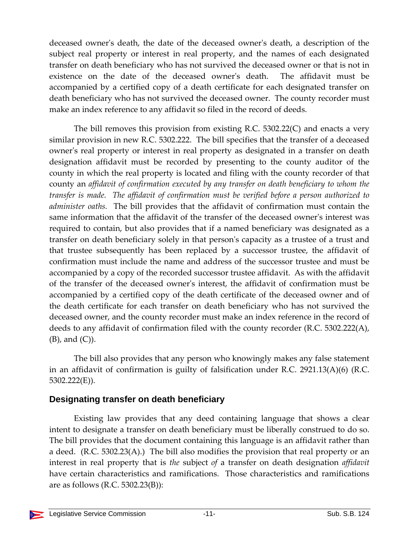deceased ownerʹs death, the date of the deceased ownerʹs death, a description of the subject real property or interest in real property, and the names of each designated transfer on death beneficiary who has not survived the deceased owner or that is not in existence on the date of the deceased ownerʹs death. The affidavit must be accompanied by a certified copy of a death certificate for each designated transfer on death beneficiary who has not survived the deceased owner. The county recorder must make an index reference to any affidavit so filed in the record of deeds.

The bill removes this provision from existing R.C. 5302.22(C) and enacts a very similar provision in new R.C. 5302.222. The bill specifies that the transfer of a deceased owner's real property or interest in real property as designated in a transfer on death designation affidavit must be recorded by presenting to the county auditor of the county in which the real property is located and filing with the county recorder of that county an *affidavit of confirmation executed by any transfer on death beneficiary to whom the transfer is made. The affidavit of confirmation must be verified before a person authorized to administer oaths.* The bill provides that the affidavit of confirmation must contain the same information that the affidavit of the transfer of the deceased ownerʹs interest was required to contain, but also provides that if a named beneficiary was designated as a transfer on death beneficiary solely in that personʹs capacity as a trustee of a trust and that trustee subsequently has been replaced by a successor trustee, the affidavit of confirmation must include the name and address of the successor trustee and must be accompanied by a copy of the recorded successor trustee affidavit. As with the affidavit of the transfer of the deceased ownerʹs interest, the affidavit of confirmation must be accompanied by a certified copy of the death certificate of the deceased owner and of the death certificate for each transfer on death beneficiary who has not survived the deceased owner, and the county recorder must make an index reference in the record of deeds to any affidavit of confirmation filed with the county recorder (R.C. 5302.222(A), (B), and (C)).

The bill also provides that any person who knowingly makes any false statement in an affidavit of confirmation is guilty of falsification under R.C. 2921.13(A)(6) (R.C. 5302.222(E)).

## **Designating transfer on death beneficiary**

Existing law provides that any deed containing language that shows a clear intent to designate a transfer on death beneficiary must be liberally construed to do so. The bill provides that the document containing this language is an affidavit rather than a deed. (R.C. 5302.23(A).) The bill also modifies the provision that real property or an interest in real property that is *the* subject *of* a transfer on death designation *affidavit* have certain characteristics and ramifications. Those characteristics and ramifications are as follows (R.C. 5302.23(B)):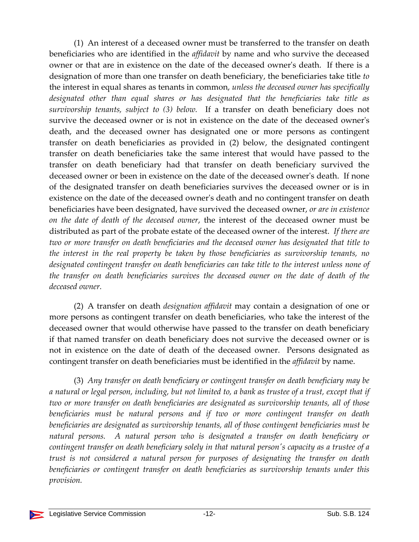(1) An interest of a deceased owner must be transferred to the transfer on death beneficiaries who are identified in the *affidavit* by name and who survive the deceased owner or that are in existence on the date of the deceased ownerʹs death. If there is a designation of more than one transfer on death beneficiary, the beneficiaries take title *to* the interest in equal shares as tenants in common, *unless the deceased owner has specifically designated other than equal shares or has designated that the beneficiaries take title as survivorship tenants, subject to (3) below.*  If a transfer on death beneficiary does not survive the deceased owner or is not in existence on the date of the deceased owner's death, and the deceased owner has designated one or more persons as contingent transfer on death beneficiaries as provided in (2) below, the designated contingent transfer on death beneficiaries take the same interest that would have passed to the transfer on death beneficiary had that transfer on death beneficiary survived the deceased owner or been in existence on the date of the deceased ownerʹs death. If none of the designated transfer on death beneficiaries survives the deceased owner or is in existence on the date of the deceased owner's death and no contingent transfer on death beneficiaries have been designated, have survived the deceased owner, *or are in existence on the date of death of the deceased owner*, the interest of the deceased owner must be distributed as part of the probate estate of the deceased owner of the interest. *If there are two or more transfer on death beneficiaries and the deceased owner has designated that title to the interest in the real property be taken by those beneficiaries as survivorship tenants, no designated contingent transfer on death beneficiaries can take title to the interest unless none of the transfer on death beneficiaries survives the deceased owner on the date of death of the deceased owner.*

(2) A transfer on death *designation affidavit* may contain a designation of one or more persons as contingent transfer on death beneficiaries, who take the interest of the deceased owner that would otherwise have passed to the transfer on death beneficiary if that named transfer on death beneficiary does not survive the deceased owner or is not in existence on the date of death of the deceased owner. Persons designated as contingent transfer on death beneficiaries must be identified in the *affidavit* by name.

(3) *Any transfer on death beneficiary or contingent transfer on death beneficiary may be* a natural or legal person, including, but not limited to, a bank as trustee of a trust, except that if *two or more transfer on death beneficiaries are designated as survivorship tenants, all of those beneficiaries must be natural persons and if two or more contingent transfer on death beneficiaries are designated as survivorship tenants, all of those contingent beneficiaries must be natural persons. A natural person who is designated a transfer on death beneficiary or* contingent transfer on death beneficiary solely in that natural person's capacity as a trustee of a *trust is not considered a natural person for purposes of designating the transfer on death beneficiaries or contingent transfer on death beneficiaries as survivorship tenants under this provision.*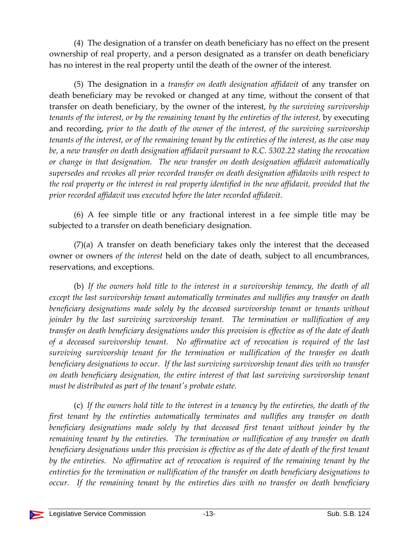(4) The designation of a transfer on death beneficiary has no effect on the present ownership of real property, and a person designated as a transfer on death beneficiary has no interest in the real property until the death of the owner of the interest.

(5) The designation in a *transfer on death designation affidavit* of any transfer on death beneficiary may be revoked or changed at any time, without the consent of that transfer on death beneficiary, by the owner of the interest, *by the surviving survivorship tenants of the interest, or by the remaining tenant by the entireties of the interest,* by executing and recording, *prior to the death of the owner of the interest, of the surviving survivorship* tenants of the interest, or of the remaining tenant by the entireties of the interest, as the case may *be,* a *new transfer on death designation affidavit pursuant to R.C. 5302.22 stating the revocation or change in that designation. The new transfer on death designation affidavit automatically supersedes and revokes all prior recorded transfer on death designation affidavits with respect to the real property or the interest in real property identified in the new affidavit, provided that the prior recorded affidavit was executed before the later recorded affidavit.*

(6) A fee simple title or any fractional interest in a fee simple title may be subjected to a transfer on death beneficiary designation.

(7)(a) A transfer on death beneficiary takes only the interest that the deceased owner or owners *of the interest* held on the date of death, subject to all encumbrances, reservations, and exceptions.

(b) *If the owners hold title to the interest in a survivorship tenancy, the death of all except the last survivorship tenant automatically terminates and nullifies any transfer on death beneficiary designations made solely by the deceased survivorship tenant or tenants without joinder by the last surviving survivorship tenant. The termination or nullification of any transfer on death beneficiary designations under this provision is effective as of the date of death of a deceased survivorship tenant. No affirmative act of revocation is required of the last surviving survivorship tenant for the termination or nullification of the transfer on death beneficiary designations to occur. If the last surviving survivorship tenant dies with no transfer on death beneficiary designation, the entire interest of that last surviving survivorship tenant must be distributed as part of the tenantʹs probate estate.*

(c) *If the owners hold title to the interest in a tenancy by the entireties, the death of the first tenant by the entireties automatically terminates and nullifies any transfer on death beneficiary designations made solely by that deceased first tenant without joinder by the remaining tenant by the entireties. The termination or nullification of any transfer on death beneficiary designations under this provision is effective as of the date of death of the first tenant by the entireties. No affirmative act of revocation is required of the remaining tenant by the entireties for the termination or nullification of the transfer on death beneficiary designations to occur. If the remaining tenant by the entireties dies with no transfer on death beneficiary*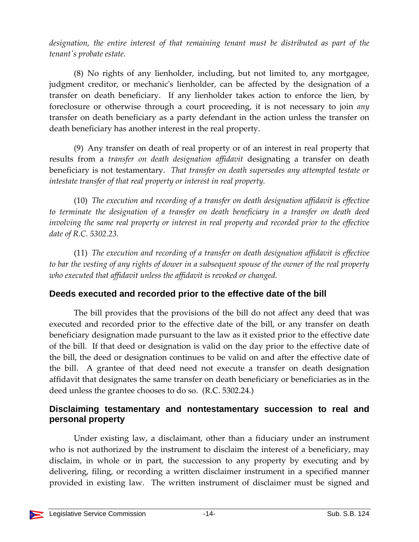*designation, the entire interest of that remaining tenant must be distributed as part of the tenantʹs probate estate.*

(8) No rights of any lienholder, including, but not limited to, any mortgagee, judgment creditor, or mechanicʹs lienholder, can be affected by the designation of a transfer on death beneficiary. If any lienholder takes action to enforce the lien, by foreclosure or otherwise through a court proceeding, it is not necessary to join *any* transfer on death beneficiary as a party defendant in the action unless the transfer on death beneficiary has another interest in the real property.

(9) Any transfer on death of real property or of an interest in real property that results from a *transfer on death designation affidavit* designating a transfer on death beneficiary is not testamentary. *That transfer on death supersedes any attempted testate or intestate transfer of that real property or interest in real property.*

(10) *The execution and recording of a transfer on death designation affidavit is effective to terminate the designation of a transfer on death beneficiary in a transfer on death deed involving the same real property or interest in real property and recorded prior to the effective date of R.C. 5302.23.*

(11) *The execution and recording of a transfer on death designation affidavit is effective* to bar the vesting of any rights of dower in a subsequent spouse of the owner of the real property *who executed that affidavit unless the affidavit is revoked or changed.*

## **Deeds executed and recorded prior to the effective date of the bill**

The bill provides that the provisions of the bill do not affect any deed that was executed and recorded prior to the effective date of the bill, or any transfer on death beneficiary designation made pursuant to the law as it existed prior to the effective date of the bill. If that deed or designation is valid on the day prior to the effective date of the bill, the deed or designation continues to be valid on and after the effective date of the bill. A grantee of that deed need not execute a transfer on death designation affidavit that designates the same transfer on death beneficiary or beneficiaries as in the deed unless the grantee chooses to do so. (R.C. 5302.24.)

## **Disclaiming testamentary and nontestamentary succession to real and personal property**

Under existing law, a disclaimant, other than a fiduciary under an instrument who is not authorized by the instrument to disclaim the interest of a beneficiary, may disclaim, in whole or in part, the succession to any property by executing and by delivering, filing, or recording a written disclaimer instrument in a specified manner provided in existing law. The written instrument of disclaimer must be signed and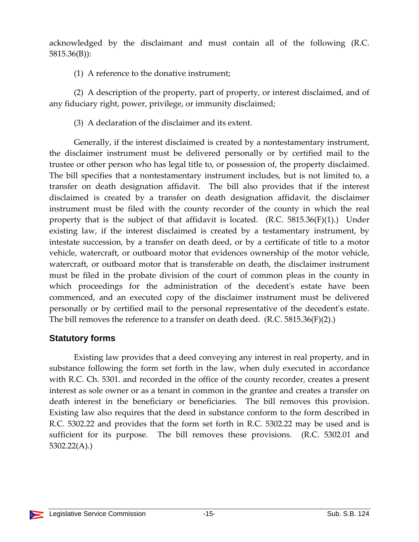acknowledged by the disclaimant and must contain all of the following (R.C. 5815.36(B)):

(1) A reference to the donative instrument;

(2) A description of the property, part of property, or interest disclaimed, and of any fiduciary right, power, privilege, or immunity disclaimed;

(3) A declaration of the disclaimer and its extent.

Generally, if the interest disclaimed is created by a nontestamentary instrument, the disclaimer instrument must be delivered personally or by certified mail to the trustee or other person who has legal title to, or possession of, the property disclaimed. The bill specifies that a nontestamentary instrument includes, but is not limited to, a transfer on death designation affidavit. The bill also provides that if the interest disclaimed is created by a transfer on death designation affidavit, the disclaimer instrument must be filed with the county recorder of the county in which the real property that is the subject of that affidavit is located.  $(R.C. 5815.36(F)(1))$ . Under existing law, if the interest disclaimed is created by a testamentary instrument, by intestate succession, by a transfer on death deed, or by a certificate of title to a motor vehicle, watercraft, or outboard motor that evidences ownership of the motor vehicle, watercraft, or outboard motor that is transferable on death, the disclaimer instrument must be filed in the probate division of the court of common pleas in the county in which proceedings for the administration of the decedent's estate have been commenced, and an executed copy of the disclaimer instrument must be delivered personally or by certified mail to the personal representative of the decedentʹs estate. The bill removes the reference to a transfer on death deed. (R.C. 5815.36(F)(2).)

## **Statutory forms**

Existing law provides that a deed conveying any interest in real property, and in substance following the form set forth in the law, when duly executed in accordance with R.C. Ch. 5301. and recorded in the office of the county recorder, creates a present interest as sole owner or as a tenant in common in the grantee and creates a transfer on death interest in the beneficiary or beneficiaries. The bill removes this provision. Existing law also requires that the deed in substance conform to the form described in R.C. 5302.22 and provides that the form set forth in R.C. 5302.22 may be used and is sufficient for its purpose. The bill removes these provisions. (R.C. 5302.01 and 5302.22(A).)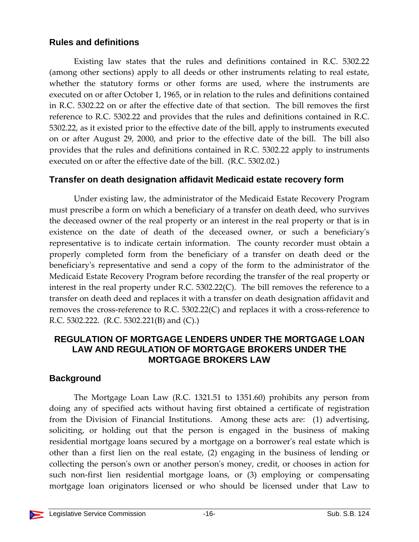#### **Rules and definitions**

Existing law states that the rules and definitions contained in R.C. 5302.22 (among other sections) apply to all deeds or other instruments relating to real estate, whether the statutory forms or other forms are used, where the instruments are executed on or after October 1, 1965, or in relation to the rules and definitions contained in R.C. 5302.22 on or after the effective date of that section. The bill removes the first reference to R.C. 5302.22 and provides that the rules and definitions contained in R.C. 5302.22, as it existed prior to the effective date of the bill, apply to instruments executed on or after August 29, 2000, and prior to the effective date of the bill. The bill also provides that the rules and definitions contained in R.C. 5302.22 apply to instruments executed on or after the effective date of the bill. (R.C. 5302.02.)

#### **Transfer on death designation affidavit Medicaid estate recovery form**

Under existing law, the administrator of the Medicaid Estate Recovery Program must prescribe a form on which a beneficiary of a transfer on death deed, who survives the deceased owner of the real property or an interest in the real property or that is in existence on the date of death of the deceased owner, or such a beneficiary's representative is to indicate certain information. The county recorder must obtain a properly completed form from the beneficiary of a transfer on death deed or the beneficiary's representative and send a copy of the form to the administrator of the Medicaid Estate Recovery Program before recording the transfer of the real property or interest in the real property under R.C. 5302.22(C). The bill removes the reference to a transfer on death deed and replaces it with a transfer on death designation affidavit and removes the cross-reference to R.C. 5302.22(C) and replaces it with a cross-reference to R.C. 5302.222. (R.C. 5302.221(B) and (C).)

#### **REGULATION OF MORTGAGE LENDERS UNDER THE MORTGAGE LOAN LAW AND REGULATION OF MORTGAGE BROKERS UNDER THE MORTGAGE BROKERS LAW**

## **Background**

The Mortgage Loan Law (R.C. 1321.51 to 1351.60) prohibits any person from doing any of specified acts without having first obtained a certificate of registration from the Division of Financial Institutions. Among these acts are: (1) advertising, soliciting, or holding out that the person is engaged in the business of making residential mortgage loans secured by a mortgage on a borrower's real estate which is other than a first lien on the real estate, (2) engaging in the business of lending or collecting the personʹs own or another personʹs money, credit, or chooses in action for such non-first lien residential mortgage loans, or (3) employing or compensating mortgage loan originators licensed or who should be licensed under that Law to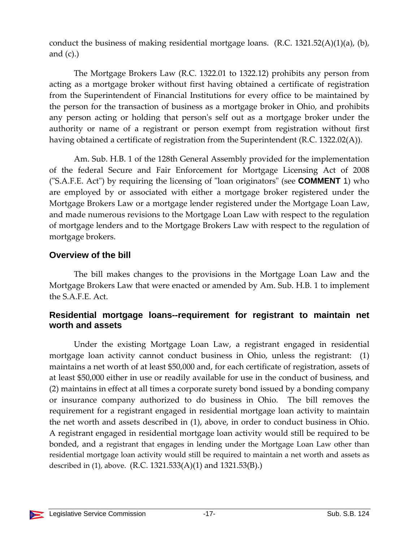conduct the business of making residential mortgage loans.  $(R.C. 1321.52(A)(1)(a), (b),$ and  $(c)$ .)

The Mortgage Brokers Law (R.C. 1322.01 to 1322.12) prohibits any person from acting as a mortgage broker without first having obtained a certificate of registration from the Superintendent of Financial Institutions for every office to be maintained by the person for the transaction of business as a mortgage broker in Ohio, and prohibits any person acting or holding that personʹs self out as a mortgage broker under the authority or name of a registrant or person exempt from registration without first having obtained a certificate of registration from the Superintendent (R.C. 1322.02(A)).

Am. Sub. H.B. 1 of the 128th General Assembly provided for the implementation of the federal Secure and Fair Enforcement for Mortgage Licensing Act of 2008 ("S.A.F.E. Act") by requiring the licensing of "loan originators" (see **COMMENT** 1) who are employed by or associated with either a mortgage broker registered under the Mortgage Brokers Law or a mortgage lender registered under the Mortgage Loan Law, and made numerous revisions to the Mortgage Loan Law with respect to the regulation of mortgage lenders and to the Mortgage Brokers Law with respect to the regulation of mortgage brokers.

#### **Overview of the bill**

The bill makes changes to the provisions in the Mortgage Loan Law and the Mortgage Brokers Law that were enacted or amended by Am. Sub. H.B. 1 to implement the S.A.F.E. Act.

#### **Residential mortgage loans--requirement for registrant to maintain net worth and assets**

Under the existing Mortgage Loan Law, a registrant engaged in residential mortgage loan activity cannot conduct business in Ohio, unless the registrant: (1) maintains a net worth of at least \$50,000 and, for each certificate of registration, assets of at least \$50,000 either in use or readily available for use in the conduct of business, and (2) maintains in effect at all times a corporate surety bond issued by a bonding company or insurance company authorized to do business in Ohio. The bill removes the requirement for a registrant engaged in residential mortgage loan activity to maintain the net worth and assets described in (1), above, in order to conduct business in Ohio. A registrant engaged in residential mortgage loan activity would still be required to be bonded, and a registrant that engages in lending under the Mortgage Loan Law other than residential mortgage loan activity would still be required to maintain a net worth and assets as described in (1), above. (R.C. 1321.533(A)(1) and 1321.53(B).)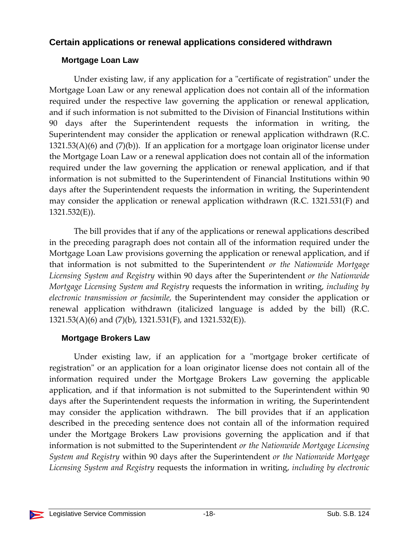#### **Certain applications or renewal applications considered withdrawn**

#### **Mortgage Loan Law**

Under existing law, if any application for a "certificate of registration" under the Mortgage Loan Law or any renewal application does not contain all of the information required under the respective law governing the application or renewal application, and if such information is not submitted to the Division of Financial Institutions within 90 days after the Superintendent requests the information in writing, the Superintendent may consider the application or renewal application withdrawn (R.C.  $1321.53(A)(6)$  and  $(7)(b)$ ). If an application for a mortgage loan originator license under the Mortgage Loan Law or a renewal application does not contain all of the information required under the law governing the application or renewal application, and if that information is not submitted to the Superintendent of Financial Institutions within 90 days after the Superintendent requests the information in writing, the Superintendent may consider the application or renewal application withdrawn (R.C. 1321.531(F) and 1321.532(E)).

The bill provides that if any of the applications or renewal applications described in the preceding paragraph does not contain all of the information required under the Mortgage Loan Law provisions governing the application or renewal application, and if that information is not submitted to the Superintendent *or the Nationwide Mortgage Licensing System and Registry* within 90 days after the Superintendent *or the Nationwide Mortgage Licensing System and Registry* requests the information in writing, *including by electronic transmission or facsimile,* the Superintendent may consider the application or renewal application withdrawn (italicized language is added by the bill) (R.C. 1321.53(A)(6) and (7)(b), 1321.531(F), and 1321.532(E)).

#### **Mortgage Brokers Law**

Under existing law, if an application for a "mortgage broker certificate of registration" or an application for a loan originator license does not contain all of the information required under the Mortgage Brokers Law governing the applicable application, and if that information is not submitted to the Superintendent within 90 days after the Superintendent requests the information in writing, the Superintendent may consider the application withdrawn. The bill provides that if an application described in the preceding sentence does not contain all of the information required under the Mortgage Brokers Law provisions governing the application and if that information is not submitted to the Superintendent *or the Nationwide Mortgage Licensing System and Registry* within 90 days after the Superintendent *or the Nationwide Mortgage Licensing System and Registry* requests the information in writing, *including by electronic*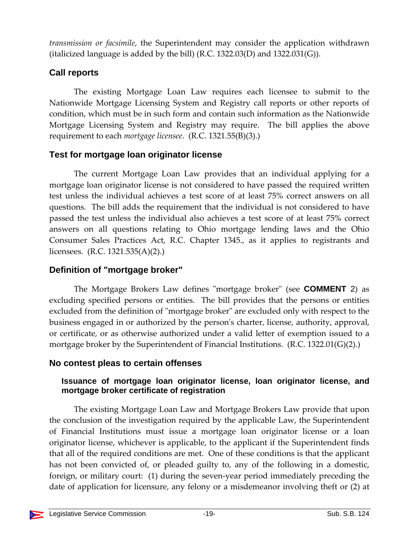*transmission or facsimile*, the Superintendent may consider the application withdrawn (italicized language is added by the bill) (R.C. 1322.03(D) and  $1322.031(G)$ ).

## **Call reports**

The existing Mortgage Loan Law requires each licensee to submit to the Nationwide Mortgage Licensing System and Registry call reports or other reports of condition, which must be in such form and contain such information as the Nationwide Mortgage Licensing System and Registry may require. The bill applies the above requirement to each *mortgage licensee*. (R.C. 1321.55(B)(3).)

## **Test for mortgage loan originator license**

The current Mortgage Loan Law provides that an individual applying for a mortgage loan originator license is not considered to have passed the required written test unless the individual achieves a test score of at least 75% correct answers on all questions. The bill adds the requirement that the individual is not considered to have passed the test unless the individual also achieves a test score of at least 75% correct answers on all questions relating to Ohio mortgage lending laws and the Ohio Consumer Sales Practices Act, R.C. Chapter 1345., as it applies to registrants and licensees. (R.C. 1321.535(A)(2).)

## **Definition of "mortgage broker"**

The Mortgage Brokers Law defines "mortgage broker" (see **COMMENT** 2) as excluding specified persons or entities. The bill provides that the persons or entities excluded from the definition of "mortgage broker" are excluded only with respect to the business engaged in or authorized by the personʹs charter, license, authority, approval, or certificate, or as otherwise authorized under a valid letter of exemption issued to a mortgage broker by the Superintendent of Financial Institutions. (R.C. 1322.01(G)(2).)

## **No contest pleas to certain offenses**

#### **Issuance of mortgage loan originator license, loan originator license, and mortgage broker certificate of registration**

The existing Mortgage Loan Law and Mortgage Brokers Law provide that upon the conclusion of the investigation required by the applicable Law, the Superintendent of Financial Institutions must issue a mortgage loan originator license or a loan originator license, whichever is applicable, to the applicant if the Superintendent finds that all of the required conditions are met. One of these conditions is that the applicant has not been convicted of, or pleaded guilty to, any of the following in a domestic, foreign, or military court: (1) during the seven-year period immediately preceding the date of application for licensure, any felony or a misdemeanor involving theft or (2) at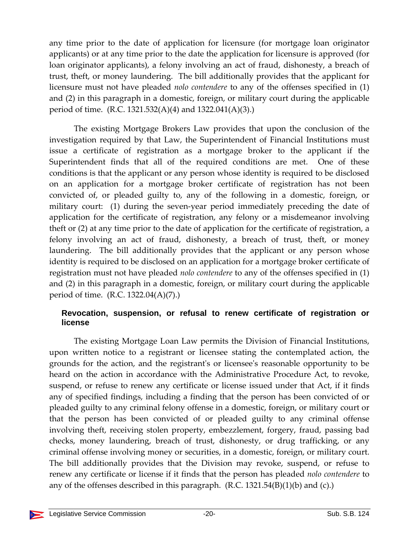any time prior to the date of application for licensure (for mortgage loan originator applicants) or at any time prior to the date the application for licensure is approved (for loan originator applicants), a felony involving an act of fraud, dishonesty, a breach of trust, theft, or money laundering. The bill additionally provides that the applicant for licensure must not have pleaded *nolo contendere* to any of the offenses specified in (1) and (2) in this paragraph in a domestic, foreign, or military court during the applicable period of time. (R.C. 1321.532(A)(4) and 1322.041(A)(3).)

The existing Mortgage Brokers Law provides that upon the conclusion of the investigation required by that Law, the Superintendent of Financial Institutions must issue a certificate of registration as a mortgage broker to the applicant if the Superintendent finds that all of the required conditions are met. One of these conditions is that the applicant or any person whose identity is required to be disclosed on an application for a mortgage broker certificate of registration has not been convicted of, or pleaded guilty to, any of the following in a domestic, foreign, or military court: (1) during the seven-year period immediately preceding the date of application for the certificate of registration, any felony or a misdemeanor involving theft or (2) at any time prior to the date of application for the certificate of registration, a felony involving an act of fraud, dishonesty, a breach of trust, theft, or money laundering. The bill additionally provides that the applicant or any person whose identity is required to be disclosed on an application for a mortgage broker certificate of registration must not have pleaded *nolo contendere* to any of the offenses specified in (1) and (2) in this paragraph in a domestic, foreign, or military court during the applicable period of time. (R.C. 1322.04(A)(7).)

#### **Revocation, suspension, or refusal to renew certificate of registration or license**

The existing Mortgage Loan Law permits the Division of Financial Institutions, upon written notice to a registrant or licensee stating the contemplated action, the grounds for the action, and the registrantʹs or licenseeʹs reasonable opportunity to be heard on the action in accordance with the Administrative Procedure Act, to revoke, suspend, or refuse to renew any certificate or license issued under that Act, if it finds any of specified findings, including a finding that the person has been convicted of or pleaded guilty to any criminal felony offense in a domestic, foreign, or military court or that the person has been convicted of or pleaded guilty to any criminal offense involving theft, receiving stolen property, embezzlement, forgery, fraud, passing bad checks, money laundering, breach of trust, dishonesty, or drug trafficking, or any criminal offense involving money or securities, in a domestic, foreign, or military court. The bill additionally provides that the Division may revoke, suspend, or refuse to renew any certificate or license if it finds that the person has pleaded *nolo contendere* to any of the offenses described in this paragraph.  $(R.C. 1321.54(B)(1)(b)$  and  $(c)$ .)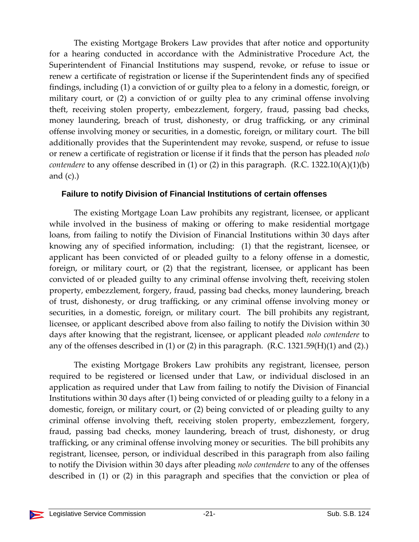The existing Mortgage Brokers Law provides that after notice and opportunity for a hearing conducted in accordance with the Administrative Procedure Act, the Superintendent of Financial Institutions may suspend, revoke, or refuse to issue or renew a certificate of registration or license if the Superintendent finds any of specified findings, including (1) a conviction of or guilty plea to a felony in a domestic, foreign, or military court, or (2) a conviction of or guilty plea to any criminal offense involving theft, receiving stolen property, embezzlement, forgery, fraud, passing bad checks, money laundering, breach of trust, dishonesty, or drug trafficking, or any criminal offense involving money or securities, in a domestic, foreign, or military court. The bill additionally provides that the Superintendent may revoke, suspend, or refuse to issue or renew a certificate of registration or license if it finds that the person has pleaded *nolo contendere* to any offense described in (1) or (2) in this paragraph. (R.C. 1322.10(A)(1)(b) and  $(c)$ .)

#### **Failure to notify Division of Financial Institutions of certain offenses**

The existing Mortgage Loan Law prohibits any registrant, licensee, or applicant while involved in the business of making or offering to make residential mortgage loans, from failing to notify the Division of Financial Institutions within 30 days after knowing any of specified information, including: (1) that the registrant, licensee, or applicant has been convicted of or pleaded guilty to a felony offense in a domestic, foreign, or military court, or (2) that the registrant, licensee, or applicant has been convicted of or pleaded guilty to any criminal offense involving theft, receiving stolen property, embezzlement, forgery, fraud, passing bad checks, money laundering, breach of trust, dishonesty, or drug trafficking, or any criminal offense involving money or securities, in a domestic, foreign, or military court. The bill prohibits any registrant, licensee, or applicant described above from also failing to notify the Division within 30 days after knowing that the registrant, licensee, or applicant pleaded *nolo contendere* to any of the offenses described in  $(1)$  or  $(2)$  in this paragraph.  $(R.C. 1321.59(H)(1)$  and  $(2).$ 

The existing Mortgage Brokers Law prohibits any registrant, licensee, person required to be registered or licensed under that Law, or individual disclosed in an application as required under that Law from failing to notify the Division of Financial Institutions within 30 days after (1) being convicted of or pleading guilty to a felony in a domestic, foreign, or military court, or (2) being convicted of or pleading guilty to any criminal offense involving theft, receiving stolen property, embezzlement, forgery, fraud, passing bad checks, money laundering, breach of trust, dishonesty, or drug trafficking, or any criminal offense involving money or securities. The bill prohibits any registrant, licensee, person, or individual described in this paragraph from also failing to notify the Division within 30 days after pleading *nolo contendere* to any of the offenses described in (1) or (2) in this paragraph and specifies that the conviction or plea of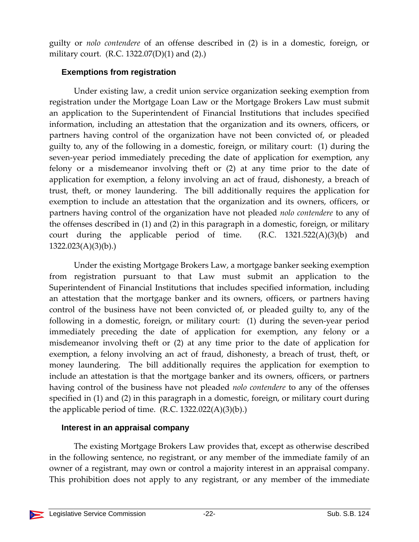guilty or *nolo contendere* of an offense described in (2) is in a domestic, foreign, or military court. (R.C. 1322.07(D)(1) and (2).)

#### **Exemptions from registration**

Under existing law, a credit union service organization seeking exemption from registration under the Mortgage Loan Law or the Mortgage Brokers Law must submit an application to the Superintendent of Financial Institutions that includes specified information, including an attestation that the organization and its owners, officers, or partners having control of the organization have not been convicted of, or pleaded guilty to, any of the following in a domestic, foreign, or military court: (1) during the seven-year period immediately preceding the date of application for exemption, any felony or a misdemeanor involving theft or (2) at any time prior to the date of application for exemption, a felony involving an act of fraud, dishonesty, a breach of trust, theft, or money laundering. The bill additionally requires the application for exemption to include an attestation that the organization and its owners, officers, or partners having control of the organization have not pleaded *nolo contendere* to any of the offenses described in (1) and (2) in this paragraph in a domestic, foreign, or military court during the applicable period of time.  $(R.C. 1321.522(A)(3)(b)$  and  $1322.023(A)(3)(b).$ 

Under the existing Mortgage Brokers Law, a mortgage banker seeking exemption from registration pursuant to that Law must submit an application to the Superintendent of Financial Institutions that includes specified information, including an attestation that the mortgage banker and its owners, officers, or partners having control of the business have not been convicted of, or pleaded guilty to, any of the following in a domestic, foreign, or military court: (1) during the seven-year period immediately preceding the date of application for exemption, any felony or a misdemeanor involving theft or (2) at any time prior to the date of application for exemption, a felony involving an act of fraud, dishonesty, a breach of trust, theft, or money laundering. The bill additionally requires the application for exemption to include an attestation is that the mortgage banker and its owners, officers, or partners having control of the business have not pleaded *nolo contendere* to any of the offenses specified in (1) and (2) in this paragraph in a domestic, foreign, or military court during the applicable period of time.  $(R.C. 1322.022(A)(3)(b))$ .

#### **Interest in an appraisal company**

The existing Mortgage Brokers Law provides that, except as otherwise described in the following sentence, no registrant, or any member of the immediate family of an owner of a registrant, may own or control a majority interest in an appraisal company. This prohibition does not apply to any registrant, or any member of the immediate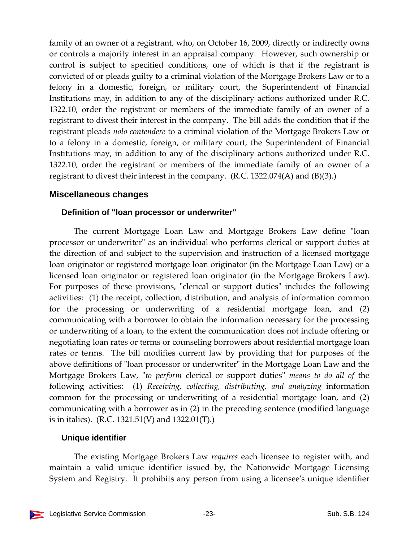family of an owner of a registrant, who, on October 16, 2009, directly or indirectly owns or controls a majority interest in an appraisal company. However, such ownership or control is subject to specified conditions, one of which is that if the registrant is convicted of or pleads guilty to a criminal violation of the Mortgage Brokers Law or to a felony in a domestic, foreign, or military court, the Superintendent of Financial Institutions may, in addition to any of the disciplinary actions authorized under R.C. 1322.10, order the registrant or members of the immediate family of an owner of a registrant to divest their interest in the company. The bill adds the condition that if the registrant pleads *nolo contendere* to a criminal violation of the Mortgage Brokers Law or to a felony in a domestic, foreign, or military court, the Superintendent of Financial Institutions may, in addition to any of the disciplinary actions authorized under R.C. 1322.10, order the registrant or members of the immediate family of an owner of a registrant to divest their interest in the company. (R.C. 1322.074(A) and (B)(3).)

#### **Miscellaneous changes**

#### **Definition of "loan processor or underwriter"**

The current Mortgage Loan Law and Mortgage Brokers Law define "loan processor or underwriter" as an individual who performs clerical or support duties at the direction of and subject to the supervision and instruction of a licensed mortgage loan originator or registered mortgage loan originator (in the Mortgage Loan Law) or a licensed loan originator or registered loan originator (in the Mortgage Brokers Law). For purposes of these provisions, "clerical or support duties" includes the following activities: (1) the receipt, collection, distribution, and analysis of information common for the processing or underwriting of a residential mortgage loan, and (2) communicating with a borrower to obtain the information necessary for the processing or underwriting of a loan, to the extent the communication does not include offering or negotiating loan rates or terms or counseling borrowers about residential mortgage loan rates or terms. The bill modifies current law by providing that for purposes of the above definitions of "loan processor or underwriter" in the Mortgage Loan Law and the Mortgage Brokers Law, "to perform clerical or support duties" means to do all of the following activities: (1) *Receiving, collecting, distributing, and analyzing* information common for the processing or underwriting of a residential mortgage loan, and (2) communicating with a borrower as in (2) in the preceding sentence (modified language is in italics). (R.C. 1321.51(V) and 1322.01(T).)

#### **Unique identifier**

The existing Mortgage Brokers Law *requires* each licensee to register with, and maintain a valid unique identifier issued by, the Nationwide Mortgage Licensing System and Registry. It prohibits any person from using a licenseeʹs unique identifier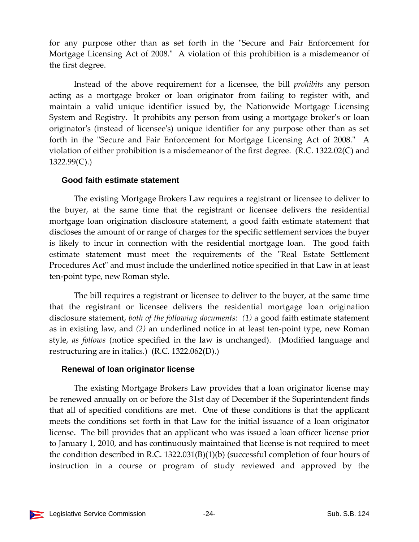for any purpose other than as set forth in the "Secure and Fair Enforcement for Mortgage Licensing Act of 2008." A violation of this prohibition is a misdemeanor of the first degree.

Instead of the above requirement for a licensee, the bill *prohibits* any person acting as a mortgage broker or loan originator from failing to register with, and maintain a valid unique identifier issued by, the Nationwide Mortgage Licensing System and Registry. It prohibits any person from using a mortgage brokerʹs or loan originatorʹs (instead of licenseeʹs) unique identifier for any purpose other than as set forth in the "Secure and Fair Enforcement for Mortgage Licensing Act of 2008." A violation of either prohibition is a misdemeanor of the first degree. (R.C. 1322.02(C) and 1322.99(C).)

#### **Good faith estimate statement**

The existing Mortgage Brokers Law requires a registrant or licensee to deliver to the buyer, at the same time that the registrant or licensee delivers the residential mortgage loan origination disclosure statement, a good faith estimate statement that discloses the amount of or range of charges for the specific settlement services the buyer is likely to incur in connection with the residential mortgage loan. The good faith estimate statement must meet the requirements of the "Real Estate Settlement Procedures Act" and must include the underlined notice specified in that Law in at least ten‐point type, new Roman style.

The bill requires a registrant or licensee to deliver to the buyer, at the same time that the registrant or licensee delivers the residential mortgage loan origination disclosure statement, *both of the following documents: (1)* a good faith estimate statement as in existing law, and *(2)* an underlined notice in at least ten‐point type, new Roman style, *as follows* (notice specified in the law is unchanged). (Modified language and restructuring are in italics.) (R.C. 1322.062(D).)

#### **Renewal of loan originator license**

The existing Mortgage Brokers Law provides that a loan originator license may be renewed annually on or before the 31st day of December if the Superintendent finds that all of specified conditions are met. One of these conditions is that the applicant meets the conditions set forth in that Law for the initial issuance of a loan originator license. The bill provides that an applicant who was issued a loan officer license prior to January 1, 2010, and has continuously maintained that license is not required to meet the condition described in R.C.  $1322.031(B)(1)(b)$  (successful completion of four hours of instruction in a course or program of study reviewed and approved by the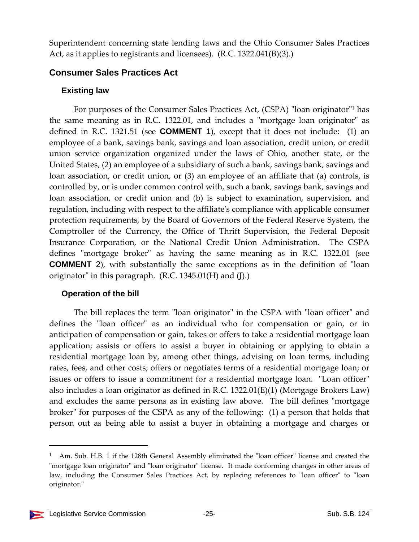Superintendent concerning state lending laws and the Ohio Consumer Sales Practices Act, as it applies to registrants and licensees). (R.C. 1322.041(B)(3).)

#### **Consumer Sales Practices Act**

#### **Existing law**

For purposes of the Consumer Sales Practices Act, (CSPA) "loan originator"<sup>1</sup> has the same meaning as in R.C. 1322.01, and includes a "mortgage loan originator" as defined in R.C. 1321.51 (see **COMMENT** 1), except that it does not include: (1) an employee of a bank, savings bank, savings and loan association, credit union, or credit union service organization organized under the laws of Ohio, another state, or the United States, (2) an employee of a subsidiary of such a bank, savings bank, savings and loan association, or credit union, or (3) an employee of an affiliate that (a) controls, is controlled by, or is under common control with, such a bank, savings bank, savings and loan association, or credit union and (b) is subject to examination, supervision, and regulation, including with respect to the affiliateʹs compliance with applicable consumer protection requirements, by the Board of Governors of the Federal Reserve System, the Comptroller of the Currency, the Office of Thrift Supervision, the Federal Deposit Insurance Corporation, or the National Credit Union Administration. The CSPA defines "mortgage broker" as having the same meaning as in R.C. 1322.01 (see **COMMENT** 2), with substantially the same exceptions as in the definition of "loan originator" in this paragraph.  $(R.C. 1345.01(H)$  and  $(J).$ 

## **Operation of the bill**

The bill replaces the term "loan originator" in the CSPA with "loan officer" and defines the "loan officer" as an individual who for compensation or gain, or in anticipation of compensation or gain, takes or offers to take a residential mortgage loan application; assists or offers to assist a buyer in obtaining or applying to obtain a residential mortgage loan by, among other things, advising on loan terms, including rates, fees, and other costs; offers or negotiates terms of a residential mortgage loan; or issues or offers to issue a commitment for a residential mortgage loan. "Loan officer" also includes a loan originator as defined in R.C. 1322.01(E)(1) (Mortgage Brokers Law) and excludes the same persons as in existing law above. The bill defines "mortgage" broker" for purposes of the CSPA as any of the following: (1) a person that holds that person out as being able to assist a buyer in obtaining a mortgage and charges or

 $1$  Am. Sub. H.B. 1 if the 128th General Assembly eliminated the  $\degree$ loan officer $\degree$  license and created the "mortgage loan originator" and "loan originator" license. It made conforming changes in other areas of law, including the Consumer Sales Practices Act, by replacing references to "loan officer" to "loan originator."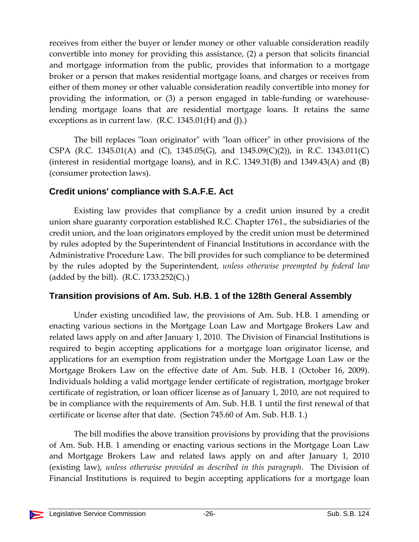receives from either the buyer or lender money or other valuable consideration readily convertible into money for providing this assistance, (2) a person that solicits financial and mortgage information from the public, provides that information to a mortgage broker or a person that makes residential mortgage loans, and charges or receives from either of them money or other valuable consideration readily convertible into money for providing the information, or (3) a person engaged in table-funding or warehouselending mortgage loans that are residential mortgage loans. It retains the same exceptions as in current law.  $(R.C. 1345.01(H)$  and  $(J).)$ 

The bill replaces "loan originator" with "loan officer" in other provisions of the CSPA (R.C. 1345.01(A) and (C), 1345.05(G), and 1345.09(C)(2)), in R.C. 1343.011(C) (interest in residential mortgage loans), and in R.C.  $1349.31(B)$  and  $1349.43(A)$  and  $(B)$ (consumer protection laws).

#### **Credit unions' compliance with S.A.F.E. Act**

Existing law provides that compliance by a credit union insured by a credit union share guaranty corporation established R.C. Chapter 1761., the subsidiaries of the credit union, and the loan originators employed by the credit union must be determined by rules adopted by the Superintendent of Financial Institutions in accordance with the Administrative Procedure Law. The bill provides for such compliance to be determined by the rules adopted by the Superintendent, *unless otherwise preempted by federal law* (added by the bill).  $(R.C. 1733.252(C))$ .)

#### **Transition provisions of Am. Sub. H.B. 1 of the 128th General Assembly**

Under existing uncodified law, the provisions of Am. Sub. H.B. 1 amending or enacting various sections in the Mortgage Loan Law and Mortgage Brokers Law and related laws apply on and after January 1, 2010. The Division of Financial Institutions is required to begin accepting applications for a mortgage loan originator license, and applications for an exemption from registration under the Mortgage Loan Law or the Mortgage Brokers Law on the effective date of Am. Sub. H.B. 1 (October 16, 2009). Individuals holding a valid mortgage lender certificate of registration, mortgage broker certificate of registration, or loan officer license as of January 1, 2010, are not required to be in compliance with the requirements of Am. Sub. H.B. 1 until the first renewal of that certificate or license after that date. (Section 745.60 of Am. Sub. H.B. 1.)

The bill modifies the above transition provisions by providing that the provisions of Am. Sub. H.B. 1 amending or enacting various sections in the Mortgage Loan Law and Mortgage Brokers Law and related laws apply on and after January 1, 2010 (existing law), *unless otherwise provided as described in this paragraph*. The Division of Financial Institutions is required to begin accepting applications for a mortgage loan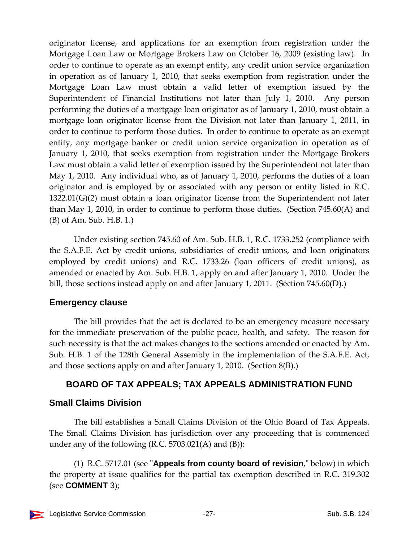originator license, and applications for an exemption from registration under the Mortgage Loan Law or Mortgage Brokers Law on October 16, 2009 (existing law). In order to continue to operate as an exempt entity, any credit union service organization in operation as of January 1, 2010, that seeks exemption from registration under the Mortgage Loan Law must obtain a valid letter of exemption issued by the Superintendent of Financial Institutions not later than July 1, 2010. Any person performing the duties of a mortgage loan originator as of January 1, 2010, must obtain a mortgage loan originator license from the Division not later than January 1, 2011, in order to continue to perform those duties. In order to continue to operate as an exempt entity, any mortgage banker or credit union service organization in operation as of January 1, 2010, that seeks exemption from registration under the Mortgage Brokers Law must obtain a valid letter of exemption issued by the Superintendent not later than May 1, 2010. Any individual who, as of January 1, 2010, performs the duties of a loan originator and is employed by or associated with any person or entity listed in R.C. 1322.01(G)(2) must obtain a loan originator license from the Superintendent not later than May 1, 2010, in order to continue to perform those duties. (Section 745.60(A) and (B) of Am. Sub. H.B. 1.)

Under existing section 745.60 of Am. Sub. H.B. 1, R.C. 1733.252 (compliance with the S.A.F.E. Act by credit unions, subsidiaries of credit unions, and loan originators employed by credit unions) and R.C. 1733.26 (loan officers of credit unions), as amended or enacted by Am. Sub. H.B. 1, apply on and after January 1, 2010. Under the bill, those sections instead apply on and after January 1, 2011. (Section 745.60(D).)

#### **Emergency clause**

The bill provides that the act is declared to be an emergency measure necessary for the immediate preservation of the public peace, health, and safety. The reason for such necessity is that the act makes changes to the sections amended or enacted by Am. Sub. H.B. 1 of the 128th General Assembly in the implementation of the S.A.F.E. Act, and those sections apply on and after January 1, 2010. (Section 8(B).)

## **BOARD OF TAX APPEALS; TAX APPEALS ADMINISTRATION FUND**

## **Small Claims Division**

The bill establishes a Small Claims Division of the Ohio Board of Tax Appeals. The Small Claims Division has jurisdiction over any proceeding that is commenced under any of the following (R.C.  $5703.021(A)$  and (B)):

(1) R.C. 5717.01 (see "**Appeals from county board of revision**," below) in which the property at issue qualifies for the partial tax exemption described in R.C. 319.302 (see **COMMENT** 3);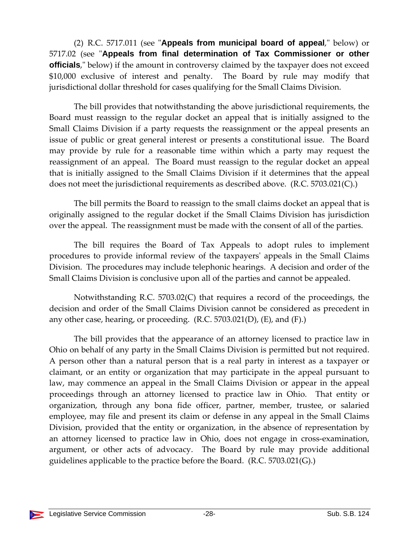(2) R.C. 5717.011 (see "**Appeals from municipal board of appeal**," below) or 5717.02 (see "Appeals from final determination of Tax Commissioner or other **officials**," below) if the amount in controversy claimed by the taxpayer does not exceed \$10,000 exclusive of interest and penalty. The Board by rule may modify that jurisdictional dollar threshold for cases qualifying for the Small Claims Division.

The bill provides that notwithstanding the above jurisdictional requirements, the Board must reassign to the regular docket an appeal that is initially assigned to the Small Claims Division if a party requests the reassignment or the appeal presents an issue of public or great general interest or presents a constitutional issue. The Board may provide by rule for a reasonable time within which a party may request the reassignment of an appeal. The Board must reassign to the regular docket an appeal that is initially assigned to the Small Claims Division if it determines that the appeal does not meet the jurisdictional requirements as described above. (R.C. 5703.021(C).)

The bill permits the Board to reassign to the small claims docket an appeal that is originally assigned to the regular docket if the Small Claims Division has jurisdiction over the appeal. The reassignment must be made with the consent of all of the parties.

The bill requires the Board of Tax Appeals to adopt rules to implement procedures to provide informal review of the taxpayersʹ appeals in the Small Claims Division. The procedures may include telephonic hearings. A decision and order of the Small Claims Division is conclusive upon all of the parties and cannot be appealed.

Notwithstanding R.C. 5703.02(C) that requires a record of the proceedings, the decision and order of the Small Claims Division cannot be considered as precedent in any other case, hearing, or proceeding.  $(R.C. 5703.021(D), (E),$  and  $(F).)$ 

The bill provides that the appearance of an attorney licensed to practice law in Ohio on behalf of any party in the Small Claims Division is permitted but not required. A person other than a natural person that is a real party in interest as a taxpayer or claimant, or an entity or organization that may participate in the appeal pursuant to law, may commence an appeal in the Small Claims Division or appear in the appeal proceedings through an attorney licensed to practice law in Ohio. That entity or organization, through any bona fide officer, partner, member, trustee, or salaried employee, may file and present its claim or defense in any appeal in the Small Claims Division, provided that the entity or organization, in the absence of representation by an attorney licensed to practice law in Ohio, does not engage in cross‐examination, argument, or other acts of advocacy. The Board by rule may provide additional guidelines applicable to the practice before the Board. (R.C. 5703.021(G).)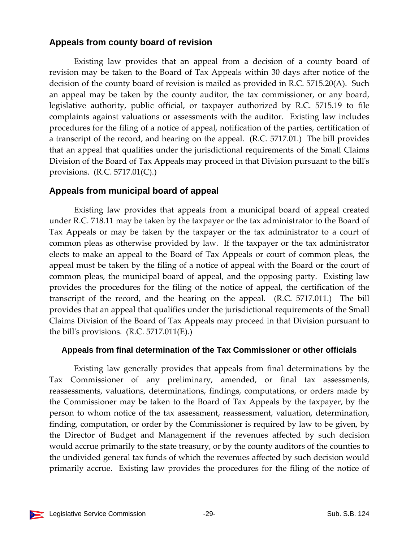## **Appeals from county board of revision**

Existing law provides that an appeal from a decision of a county board of revision may be taken to the Board of Tax Appeals within 30 days after notice of the decision of the county board of revision is mailed as provided in R.C. 5715.20(A). Such an appeal may be taken by the county auditor, the tax commissioner, or any board, legislative authority, public official, or taxpayer authorized by R.C. 5715.19 to file complaints against valuations or assessments with the auditor. Existing law includes procedures for the filing of a notice of appeal, notification of the parties, certification of a transcript of the record, and hearing on the appeal. (R.C. 5717.01.) The bill provides that an appeal that qualifies under the jurisdictional requirements of the Small Claims Division of the Board of Tax Appeals may proceed in that Division pursuant to the billʹs provisions. (R.C. 5717.01(C).)

## **Appeals from municipal board of appeal**

Existing law provides that appeals from a municipal board of appeal created under R.C. 718.11 may be taken by the taxpayer or the tax administrator to the Board of Tax Appeals or may be taken by the taxpayer or the tax administrator to a court of common pleas as otherwise provided by law. If the taxpayer or the tax administrator elects to make an appeal to the Board of Tax Appeals or court of common pleas, the appeal must be taken by the filing of a notice of appeal with the Board or the court of common pleas, the municipal board of appeal, and the opposing party. Existing law provides the procedures for the filing of the notice of appeal, the certification of the transcript of the record, and the hearing on the appeal. (R.C. 5717.011.) The bill provides that an appeal that qualifies under the jurisdictional requirements of the Small Claims Division of the Board of Tax Appeals may proceed in that Division pursuant to the bill's provisions.  $(R.C. 5717.011(E))$ .

## **Appeals from final determination of the Tax Commissioner or other officials**

Existing law generally provides that appeals from final determinations by the Tax Commissioner of any preliminary, amended, or final tax assessments, reassessments, valuations, determinations, findings, computations, or orders made by the Commissioner may be taken to the Board of Tax Appeals by the taxpayer, by the person to whom notice of the tax assessment, reassessment, valuation, determination, finding, computation, or order by the Commissioner is required by law to be given, by the Director of Budget and Management if the revenues affected by such decision would accrue primarily to the state treasury, or by the county auditors of the counties to the undivided general tax funds of which the revenues affected by such decision would primarily accrue. Existing law provides the procedures for the filing of the notice of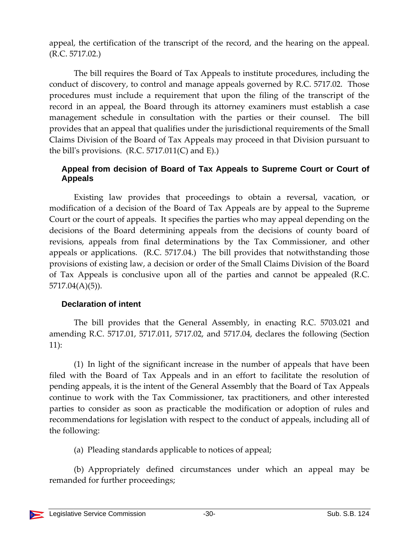appeal, the certification of the transcript of the record, and the hearing on the appeal. (R.C. 5717.02.)

The bill requires the Board of Tax Appeals to institute procedures, including the conduct of discovery, to control and manage appeals governed by R.C. 5717.02. Those procedures must include a requirement that upon the filing of the transcript of the record in an appeal, the Board through its attorney examiners must establish a case management schedule in consultation with the parties or their counsel. The bill provides that an appeal that qualifies under the jurisdictional requirements of the Small Claims Division of the Board of Tax Appeals may proceed in that Division pursuant to the bill's provisions.  $(R.C. 5717.011(C)$  and E).)

#### **Appeal from decision of Board of Tax Appeals to Supreme Court or Court of Appeals**

Existing law provides that proceedings to obtain a reversal, vacation, or modification of a decision of the Board of Tax Appeals are by appeal to the Supreme Court or the court of appeals. It specifies the parties who may appeal depending on the decisions of the Board determining appeals from the decisions of county board of revisions, appeals from final determinations by the Tax Commissioner, and other appeals or applications. (R.C. 5717.04.) The bill provides that notwithstanding those provisions of existing law, a decision or order of the Small Claims Division of the Board of Tax Appeals is conclusive upon all of the parties and cannot be appealed (R.C. 5717.04(A)(5)).

#### **Declaration of intent**

The bill provides that the General Assembly, in enacting R.C. 5703.021 and amending R.C. 5717.01, 5717.011, 5717.02, and 5717.04, declares the following (Section 11):

(1) In light of the significant increase in the number of appeals that have been filed with the Board of Tax Appeals and in an effort to facilitate the resolution of pending appeals, it is the intent of the General Assembly that the Board of Tax Appeals continue to work with the Tax Commissioner, tax practitioners, and other interested parties to consider as soon as practicable the modification or adoption of rules and recommendations for legislation with respect to the conduct of appeals, including all of the following:

(a) Pleading standards applicable to notices of appeal;

(b) Appropriately defined circumstances under which an appeal may be remanded for further proceedings;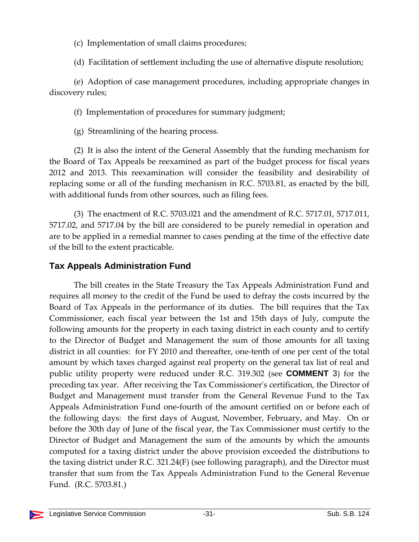(c) Implementation of small claims procedures;

(d) Facilitation of settlement including the use of alternative dispute resolution;

(e) Adoption of case management procedures, including appropriate changes in discovery rules;

(f) Implementation of procedures for summary judgment;

(g) Streamlining of the hearing process.

(2) It is also the intent of the General Assembly that the funding mechanism for the Board of Tax Appeals be reexamined as part of the budget process for fiscal years 2012 and 2013. This reexamination will consider the feasibility and desirability of replacing some or all of the funding mechanism in R.C. 5703.81, as enacted by the bill, with additional funds from other sources, such as filing fees.

(3) The enactment of R.C. 5703.021 and the amendment of R.C. 5717.01, 5717.011, 5717.02, and 5717.04 by the bill are considered to be purely remedial in operation and are to be applied in a remedial manner to cases pending at the time of the effective date of the bill to the extent practicable.

## **Tax Appeals Administration Fund**

The bill creates in the State Treasury the Tax Appeals Administration Fund and requires all money to the credit of the Fund be used to defray the costs incurred by the Board of Tax Appeals in the performance of its duties. The bill requires that the Tax Commissioner, each fiscal year between the 1st and 15th days of July, compute the following amounts for the property in each taxing district in each county and to certify to the Director of Budget and Management the sum of those amounts for all taxing district in all counties: for FY 2010 and thereafter, one‐tenth of one per cent of the total amount by which taxes charged against real property on the general tax list of real and public utility property were reduced under R.C. 319.302 (see **COMMENT** 3) for the preceding tax year. After receiving the Tax Commissionerʹs certification, the Director of Budget and Management must transfer from the General Revenue Fund to the Tax Appeals Administration Fund one‐fourth of the amount certified on or before each of the following days: the first days of August, November, February, and May. On or before the 30th day of June of the fiscal year, the Tax Commissioner must certify to the Director of Budget and Management the sum of the amounts by which the amounts computed for a taxing district under the above provision exceeded the distributions to the taxing district under R.C. 321.24(F) (see following paragraph), and the Director must transfer that sum from the Tax Appeals Administration Fund to the General Revenue Fund. (R.C. 5703.81.)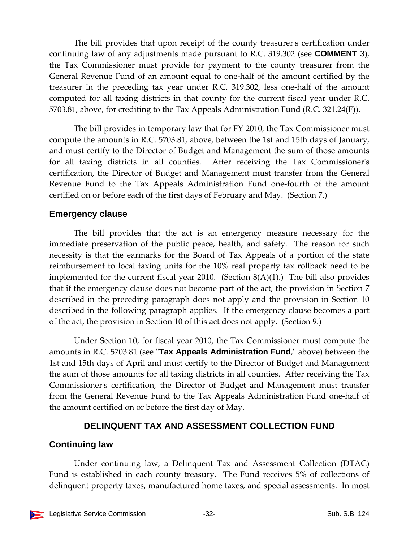The bill provides that upon receipt of the county treasurerʹs certification under continuing law of any adjustments made pursuant to R.C. 319.302 (see **COMMENT** 3), the Tax Commissioner must provide for payment to the county treasurer from the General Revenue Fund of an amount equal to one‐half of the amount certified by the treasurer in the preceding tax year under R.C. 319.302, less one‐half of the amount computed for all taxing districts in that county for the current fiscal year under R.C. 5703.81, above, for crediting to the Tax Appeals Administration Fund (R.C. 321.24(F)).

The bill provides in temporary law that for FY 2010, the Tax Commissioner must compute the amounts in R.C. 5703.81, above, between the 1st and 15th days of January, and must certify to the Director of Budget and Management the sum of those amounts for all taxing districts in all counties. After receiving the Tax Commissionerʹs certification, the Director of Budget and Management must transfer from the General Revenue Fund to the Tax Appeals Administration Fund one‐fourth of the amount certified on or before each of the first days of February and May. (Section 7.)

#### **Emergency clause**

The bill provides that the act is an emergency measure necessary for the immediate preservation of the public peace, health, and safety. The reason for such necessity is that the earmarks for the Board of Tax Appeals of a portion of the state reimbursement to local taxing units for the 10% real property tax rollback need to be implemented for the current fiscal year 2010. (Section  $8(A)(1)$ .) The bill also provides that if the emergency clause does not become part of the act, the provision in Section 7 described in the preceding paragraph does not apply and the provision in Section 10 described in the following paragraph applies. If the emergency clause becomes a part of the act, the provision in Section 10 of this act does not apply. (Section 9.)

Under Section 10, for fiscal year 2010, the Tax Commissioner must compute the amounts in R.C. 5703.81 (see "**Tax Appeals Administration Fund**," above) between the 1st and 15th days of April and must certify to the Director of Budget and Management the sum of those amounts for all taxing districts in all counties. After receiving the Tax Commissioner's certification, the Director of Budget and Management must transfer from the General Revenue Fund to the Tax Appeals Administration Fund one‐half of the amount certified on or before the first day of May.

## **DELINQUENT TAX AND ASSESSMENT COLLECTION FUND**

## **Continuing law**

Under continuing law, a Delinquent Tax and Assessment Collection (DTAC) Fund is established in each county treasury. The Fund receives 5% of collections of delinquent property taxes, manufactured home taxes, and special assessments. In most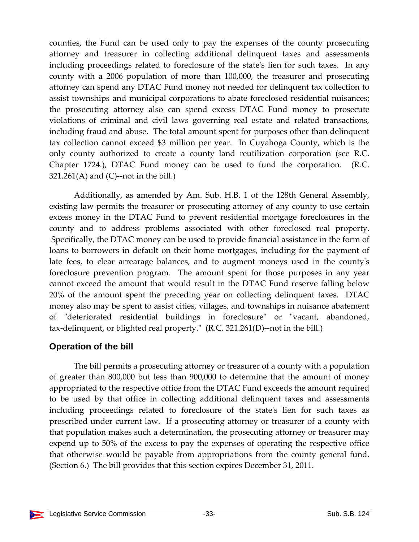counties, the Fund can be used only to pay the expenses of the county prosecuting attorney and treasurer in collecting additional delinquent taxes and assessments including proceedings related to foreclosure of the state's lien for such taxes. In any county with a 2006 population of more than 100,000, the treasurer and prosecuting attorney can spend any DTAC Fund money not needed for delinquent tax collection to assist townships and municipal corporations to abate foreclosed residential nuisances; the prosecuting attorney also can spend excess DTAC Fund money to prosecute violations of criminal and civil laws governing real estate and related transactions, including fraud and abuse. The total amount spent for purposes other than delinquent tax collection cannot exceed \$3 million per year. In Cuyahoga County, which is the only county authorized to create a county land reutilization corporation (see R.C. Chapter 1724.), DTAC Fund money can be used to fund the corporation. (R.C. 321.261(A) and (C)--not in the bill.)

Additionally, as amended by Am. Sub. H.B. 1 of the 128th General Assembly, existing law permits the treasurer or prosecuting attorney of any county to use certain excess money in the DTAC Fund to prevent residential mortgage foreclosures in the county and to address problems associated with other foreclosed real property. Specifically, the DTAC money can be used to provide financial assistance in the form of loans to borrowers in default on their home mortgages, including for the payment of late fees, to clear arrearage balances, and to augment moneys used in the county's foreclosure prevention program. The amount spent for those purposes in any year cannot exceed the amount that would result in the DTAC Fund reserve falling below 20% of the amount spent the preceding year on collecting delinquent taxes. DTAC money also may be spent to assist cities, villages, and townships in nuisance abatement of "deteriorated residential buildings in foreclosure" or "vacant, abandoned, tax-delinquent, or blighted real property." (R.C. 321.261(D)--not in the bill.)

## **Operation of the bill**

The bill permits a prosecuting attorney or treasurer of a county with a population of greater than 800,000 but less than 900,000 to determine that the amount of money appropriated to the respective office from the DTAC Fund exceeds the amount required to be used by that office in collecting additional delinquent taxes and assessments including proceedings related to foreclosure of the stateʹs lien for such taxes as prescribed under current law. If a prosecuting attorney or treasurer of a county with that population makes such a determination, the prosecuting attorney or treasurer may expend up to 50% of the excess to pay the expenses of operating the respective office that otherwise would be payable from appropriations from the county general fund. (Section 6.) The bill provides that this section expires December 31, 2011.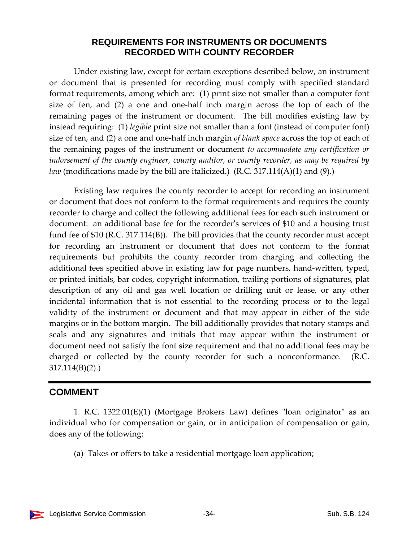#### **REQUIREMENTS FOR INSTRUMENTS OR DOCUMENTS RECORDED WITH COUNTY RECORDER**

Under existing law, except for certain exceptions described below, an instrument or document that is presented for recording must comply with specified standard format requirements, among which are: (1) print size not smaller than a computer font size of ten, and (2) a one and one‐half inch margin across the top of each of the remaining pages of the instrument or document. The bill modifies existing law by instead requiring: (1) *legible* print size not smaller than a font (instead of computer font) size of ten, and (2) a one and one‐half inch margin *of blank space* across the top of each of the remaining pages of the instrument or document *to accommodate any certification or indorsement of the county engineer, county auditor, or county recorder, as may be required by law* (modifications made by the bill are italicized.) (R.C. 317.114(A)(1) and (9).)

Existing law requires the county recorder to accept for recording an instrument or document that does not conform to the format requirements and requires the county recorder to charge and collect the following additional fees for each such instrument or document: an additional base fee for the recorderʹs services of \$10 and a housing trust fund fee of \$10 (R.C. 317.114(B)). The bill provides that the county recorder must accept for recording an instrument or document that does not conform to the format requirements but prohibits the county recorder from charging and collecting the additional fees specified above in existing law for page numbers, hand‐written, typed, or printed initials, bar codes, copyright information, trailing portions of signatures, plat description of any oil and gas well location or drilling unit or lease, or any other incidental information that is not essential to the recording process or to the legal validity of the instrument or document and that may appear in either of the side margins or in the bottom margin. The bill additionally provides that notary stamps and seals and any signatures and initials that may appear within the instrument or document need not satisfy the font size requirement and that no additional fees may be charged or collected by the county recorder for such a nonconformance. (R.C. 317.114(B)(2).)

## **COMMENT**

1. R.C.  $1322.01(E)(1)$  (Mortgage Brokers Law) defines "loan originator" as an individual who for compensation or gain, or in anticipation of compensation or gain, does any of the following:

(a) Takes or offers to take a residential mortgage loan application;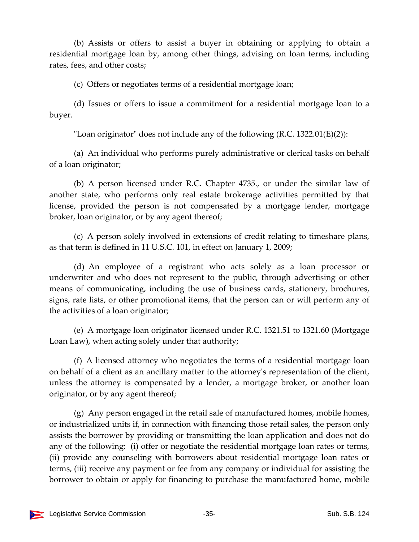(b) Assists or offers to assist a buyer in obtaining or applying to obtain a residential mortgage loan by, among other things, advising on loan terms, including rates, fees, and other costs;

(c) Offers or negotiates terms of a residential mortgage loan;

(d) Issues or offers to issue a commitment for a residential mortgage loan to a buyer.

"Loan originator" does not include any of the following  $(R.C. 1322.01(E)(2))$ :

(a) An individual who performs purely administrative or clerical tasks on behalf of a loan originator;

(b) A person licensed under R.C. Chapter 4735., or under the similar law of another state, who performs only real estate brokerage activities permitted by that license, provided the person is not compensated by a mortgage lender, mortgage broker, loan originator, or by any agent thereof;

(c) A person solely involved in extensions of credit relating to timeshare plans, as that term is defined in 11 U.S.C. 101, in effect on January 1, 2009;

(d) An employee of a registrant who acts solely as a loan processor or underwriter and who does not represent to the public, through advertising or other means of communicating, including the use of business cards, stationery, brochures, signs, rate lists, or other promotional items, that the person can or will perform any of the activities of a loan originator;

(e) A mortgage loan originator licensed under R.C. 1321.51 to 1321.60 (Mortgage Loan Law), when acting solely under that authority;

(f) A licensed attorney who negotiates the terms of a residential mortgage loan on behalf of a client as an ancillary matter to the attorneyʹs representation of the client, unless the attorney is compensated by a lender, a mortgage broker, or another loan originator, or by any agent thereof;

(g) Any person engaged in the retail sale of manufactured homes, mobile homes, or industrialized units if, in connection with financing those retail sales, the person only assists the borrower by providing or transmitting the loan application and does not do any of the following: (i) offer or negotiate the residential mortgage loan rates or terms, (ii) provide any counseling with borrowers about residential mortgage loan rates or terms, (iii) receive any payment or fee from any company or individual for assisting the borrower to obtain or apply for financing to purchase the manufactured home, mobile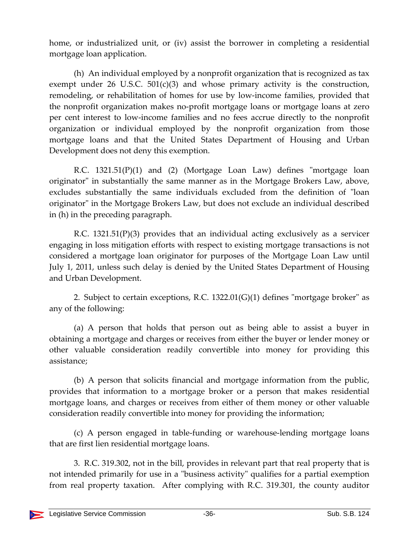home, or industrialized unit, or (iv) assist the borrower in completing a residential mortgage loan application.

(h) An individual employed by a nonprofit organization that is recognized as tax exempt under 26 U.S.C.  $501(c)(3)$  and whose primary activity is the construction, remodeling, or rehabilitation of homes for use by low-income families, provided that the nonprofit organization makes no‐profit mortgage loans or mortgage loans at zero per cent interest to low‐income families and no fees accrue directly to the nonprofit organization or individual employed by the nonprofit organization from those mortgage loans and that the United States Department of Housing and Urban Development does not deny this exemption.

R.C.  $1321.51(P)(1)$  and  $(2)$  (Mortgage Loan Law) defines "mortgage loan originator" in substantially the same manner as in the Mortgage Brokers Law, above, excludes substantially the same individuals excluded from the definition of "loan originator" in the Mortgage Brokers Law, but does not exclude an individual described in (h) in the preceding paragraph.

R.C. 1321.51(P)(3) provides that an individual acting exclusively as a servicer engaging in loss mitigation efforts with respect to existing mortgage transactions is not considered a mortgage loan originator for purposes of the Mortgage Loan Law until July 1, 2011, unless such delay is denied by the United States Department of Housing and Urban Development.

2. Subject to certain exceptions, R.C.  $1322.01(G)(1)$  defines "mortgage broker" as any of the following:

(a) A person that holds that person out as being able to assist a buyer in obtaining a mortgage and charges or receives from either the buyer or lender money or other valuable consideration readily convertible into money for providing this assistance;

(b) A person that solicits financial and mortgage information from the public, provides that information to a mortgage broker or a person that makes residential mortgage loans, and charges or receives from either of them money or other valuable consideration readily convertible into money for providing the information;

(c) A person engaged in table‐funding or warehouse‐lending mortgage loans that are first lien residential mortgage loans.

3. R.C. 319.302, not in the bill, provides in relevant part that real property that is not intended primarily for use in a "business activity" qualifies for a partial exemption from real property taxation. After complying with R.C. 319.301, the county auditor